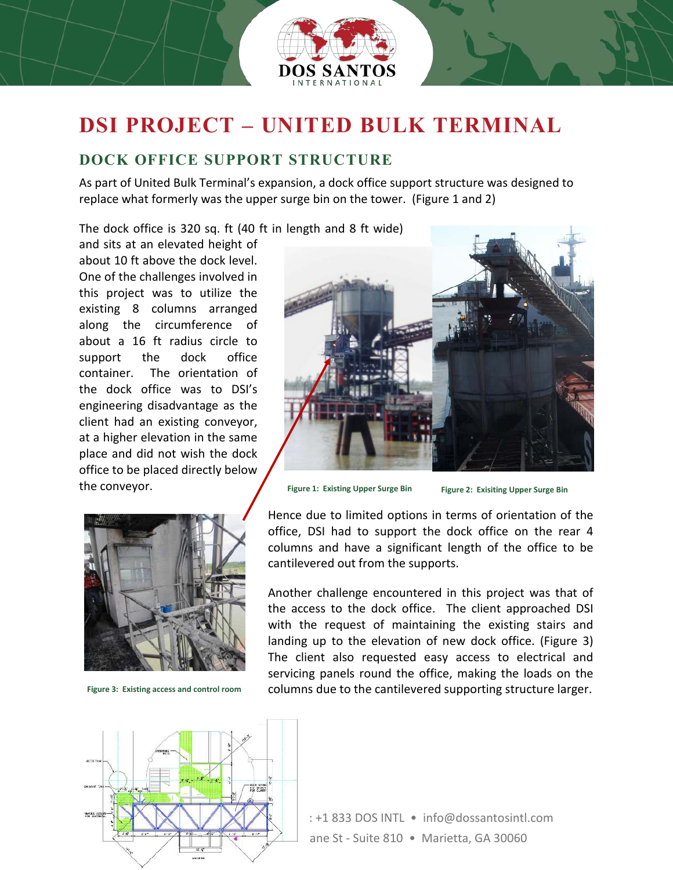

## **DSI PROJECT – UNITED BULK TERMINAL**

## **DOCK OFFICE SUPPORT STRUCTURE**

As part of United Bulk Terminal's expansion, a dock office support structure was designed to replace what formerly was the upper surge bin on the tower. (Figure 1 and 2)

The dock office is 320 sq. ft (40 ft in length and 8 ft wide)

and sits at an elevated height of about 10 ft above the dock level. One of the challenges involved in this project was to utilize the existing 8 columns arranged along the circumference of about a 16 ft radius circle to support the dock office container. The orientation of the dock office was to DSI's engineering disadvantage as the client had an existing conveyor, at a higher elevation in the same place and did not wish the dock office to be placed directly below the conveyor.



**Figure 3: Existing access and control room**



**Figure 1: Existing Upper Surge Bin Figure 2: Exisiting Upper Surge Bin**

Hence due to limited options in terms of orientation of the office, DSI had to support the dock office on the rear 4 columns and have a significant length of the office to be cantilevered out from the supports.

Another challenge encountered in this project was that of the access to the dock office. The client approached DSI with the request of maintaining the existing stairs and landing up to the elevation of new dock office. (Figure 3) The client also requested easy access to electrical and servicing panels round the office, making the loads on the columns due to the cantilevered supporting structure larger.



: +1 833 DOS INTL · info@dossantosintl.com ane St - Suite 810 • Marietta, GA 30060